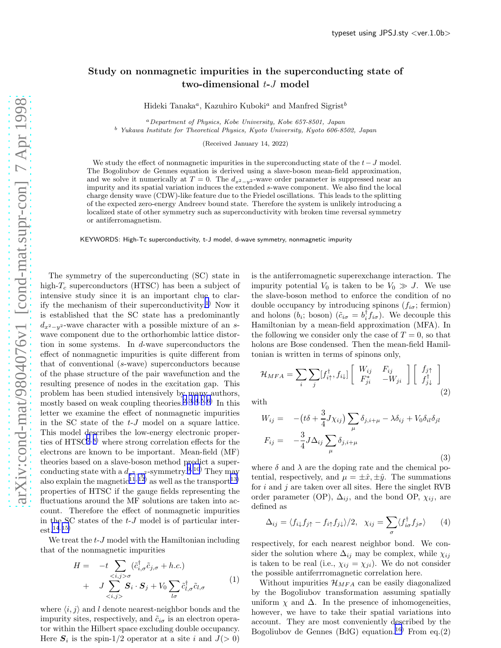## Study on nonmagnetic impurities in the superconducting state of two-dimensional t-J model

Hideki Tanaka<sup>a</sup>, Kazuhiro Kuboki<sup>a</sup> and Manfred Sigrist<sup>b</sup>

<sup>a</sup>Department of Physics, Kobe University, Kobe 657-8501, Japan <sup>b</sup> Yukawa Institute for Theoretical Physics, Kyoto University, Kyoto 606-8502, Japan

(Received January 14, 2022)

We study the effect of nonmagnetic impurities in the superconducting state of the  $t-J$  model. The Bogoliubov de Gennes equation is derived using a slave-boson mean-field approximation, and we solve it numerically at  $T = 0$ . The  $d_{x^2-y^2}$ -wave order parameter is suppressed near an impurity and its spatial variation induces the extended s-wave component. We also find the local charge density wave (CDW)-like feature due to the Friedel oscillations. This leads to the splitting of the expected zero-energy Andreev bound state. Therefore the system is unlikely introducing a localized state of other symmetry such as superconductivity with broken time reversal symmetry or antiferromagnetism.

KEYWORDS: High-Tc superconductivity, t-J model, d-wave symmetry, nonmagnetic impurity

The symmetry of the superconducting (SC) state in high- $T_c$  superconductors (HTSC) has been a subject of intensive study since it is an important clue to clar-ify the mechanism of their superconductivity.<sup>[1](#page-2-0))</sup> Now it is established that the SC state has a predominantly  $d_{x^2-y^2}$ -wave character with a possible mixture of an swave component due to the orthorhombic lattice distortion in some systems. In d-wave superconductors the effect of nonmagnetic impurities is quite different from that of conventional (s-wave) superconductors because of the phase structure of the pair wavefunction and the resulting presence of nodes in the excitation gap. This problem has been studied intensively by many authors, mostly based on weak coupling theories.<sup>[2, 3](#page-2-0), [4](#page-2-0), [5, 6](#page-2-0))</sup> In this letter we examine the effect of nonmagnetic impurities in the SC state of the t-J model on a square lattice. This model describes the low-energy electronic properties of  $HTSC^{7,8}$  $HTSC^{7,8}$  $HTSC^{7,8}$  where strong correlation effects for the electrons are known to be important. Mean-field (MF) theories based on a slave-boson method predict a superconducting state with a  $d_{x^2-y^2}$ -symmetry.<sup>[9, 10](#page-2-0))</sup> They may also explain the magnetic<sup>[11](#page-2-0), 12</sup> as well as the transport<sup>13</sup> properties of HTSC if the gauge fields representing the fluctuations around the MF solutions are taken into account. Therefore the effect of nonmagnetic impurities in the SC states of the  $t-J$  model is of particular interest.[14](#page-2-0), [15\)](#page-2-0)

We treat the  $t-J$  model with the Hamiltonian including that of the nonmagnetic impurities

$$
H = -t \sum_{\langle i,j \rangle \sigma} (\tilde{c}_{i,\sigma}^{\dagger} \tilde{c}_{j,\sigma} + h.c.)
$$
  
+ 
$$
J \sum_{\langle i,j \rangle} S_i \cdot S_j + V_0 \sum_{l\sigma} \tilde{c}_{l,\sigma}^{\dagger} \tilde{c}_{l,\sigma}
$$
 (1)

where  $\langle i, j \rangle$  and l denote nearest-neighbor bonds and the impurity sites, respectively, and  $\tilde{c}_{i\sigma}$  is an electron operator within the Hilbert space excluding double occupancy. Here  $S_i$  is the spin-1/2 operator at a site i and  $J(>0)$ 

is the antiferromagnetic superexchange interaction. The impurity potential  $V_0$  is taken to be  $V_0 \gg J$ . We use the slave-boson method to enforce the condition of no double occupancy by introducing spinons  $(f_{i\sigma};$  fermion) and holons  $(b_i; \text{boson})$   $(\tilde{c}_{i\sigma} = b_i^{\dagger} f_{i\sigma})$ . We decouple this Hamiltonian by a mean-field approximation (MFA). In the following we consider only the case of  $T = 0$ , so that holons are Bose condensed. Then the mean-field Hamiltonian is written in terms of spinons only,

$$
\mathcal{H}_{MFA} = \sum_{i} \sum_{j} [f_{i\uparrow}^{\dagger}, f_{i\downarrow}] \begin{bmatrix} W_{ij} & F_{ij} \\ F_{ji}^* & -W_{ji} \end{bmatrix} \begin{bmatrix} f_{j\uparrow} \\ f_{j\downarrow}^{\dagger} \end{bmatrix}
$$
\n(2)

with

$$
W_{ij} = -(t\delta + \frac{3}{4}J\chi_{ij})\sum_{\mu}\delta_{j,i+\mu} - \lambda\delta_{ij} + V_0\delta_{il}\delta_{jl}
$$
  

$$
F_{ij} = -\frac{3}{4}J\Delta_{ij}\sum_{\mu}\delta_{j,i+\mu}
$$
 (3)

where  $\delta$  and  $\lambda$  are the doping rate and the chemical potential, respectively, and  $\mu = \pm \hat{x}, \pm \hat{y}$ . The summations for  $i$  and  $j$  are taken over all sites. Here the singlet RVB order parameter (OP),  $\Delta_{ij}$ , and the bond OP,  $\chi_{ij}$ , are defined as

$$
\Delta_{ij} = \langle f_{i\downarrow} f_{j\uparrow} - f_{i\uparrow} f_{j\downarrow} \rangle / 2, \quad \chi_{ij} = \sum_{\sigma} \langle f_{i\sigma}^{\dagger} f_{j\sigma} \rangle \qquad (4)
$$

respectively, for each nearest neighbor bond. We consider the solution where  $\Delta_{ij}$  may be complex, while  $\chi_{ij}$ is taken to be real (i.e.,  $\chi_{ij} = \chi_{ji}$ ). We do not consider the possible antiferrromagnetic correlation here.

Without impurities  $\mathcal{H}_{MFA}$  can be easily diagonalized by the Bogoliubov transformation assuming spatially uniform  $\chi$  and  $\Delta$ . In the presence of inhomogeneities, however, we have to take their spatial variations into account. They are most conveniently described by the Bogoliubov de Gennes (BdG) equation.<sup>[16\)](#page-2-0)</sup> From eq.(2)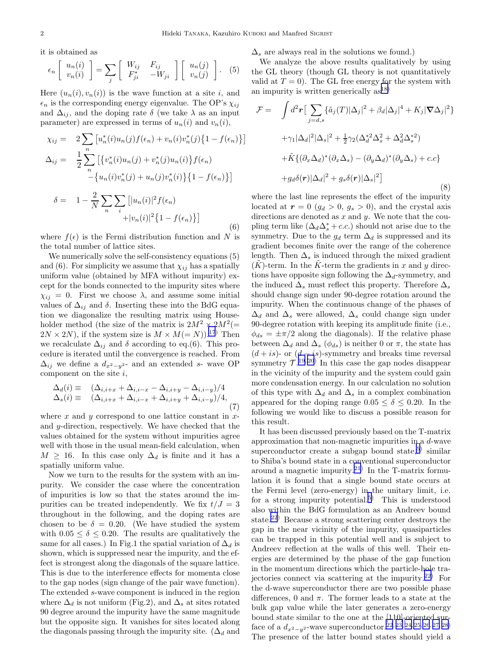it is obtained as

$$
\epsilon_n \left[ \begin{array}{c} u_n(i) \\ v_n(i) \end{array} \right] = \sum_j \left[ \begin{array}{cc} W_{ij} & F_{ij} \\ F_{ji}^* & -W_{ji} \end{array} \right] \left[ \begin{array}{c} u_n(j) \\ v_n(j) \end{array} \right]. \tag{5}
$$

Here  $(u_n(i), v_n(i))$  is the wave function at a site i, and  $\epsilon_n$  is the corresponding energy eigenvalue. The OP's  $\chi_{ij}$ and  $\Delta_{ij}$ , and the doping rate  $\delta$  (we take  $\lambda$  as an input parameter) are expressed in terms of  $u_n(i)$  and  $v_n(i)$ ,

$$
\chi_{ij} = 2 \sum_{n} \left[ u_n^*(i) u_n(j) f(\epsilon_n) + v_n(i) v_n^*(j) \{ 1 - f(\epsilon_n) \} \right]
$$
  
\n
$$
\Delta_{ij} = \frac{1}{2} \sum_{n} \left[ \{ v_n^*(i) u_n(j) + v_n^*(j) u_n(i) \} f(\epsilon_n) - \{ u_n(i) v_n^*(j) + u_n(j) v_n^*(i) \} \{ 1 - f(\epsilon_n) \} \right]
$$

$$
\delta = 1 - \frac{2}{N} \sum_{n} \sum_{i} \left[ |u_n(i)|^2 f(\epsilon_n) + |v_n(i)|^2 \{1 - f(\epsilon_n)\} \right]
$$
\n(6)

where  $f(\epsilon)$  is the Fermi distribution function and N is the total number of lattice sites.

We numerically solve the self-consistency equations (5) and (6). For simplicity we assume that  $\chi_{ij}$  has a spatially uniform value (obtained by MFA without impurity) except for the bonds connected to the impurity sites where  $\chi_{ij} = 0$ . First we choose  $\lambda$ , and assume some initial values of  $\Delta_{ij}$  and  $\delta$ . Inserting these into the BdG equation we diagonalize the resulting matrix using Householder method (the size of the matrix is  $2M^2 \times 2M^2 (=$  $2N \times 2N$ , if the system size is  $M \times M (= N)$ .<sup>[17](#page-2-0))</sup> Then we recalculate  $\Delta_{ij}$  and  $\delta$  according to eq.(6). This procedure is iterated until the convergence is reached. From  $\Delta_{ij}$  we define a  $d_{x^2-y^2}$ - and an extended s- wave OP component on the site  $i$ ,

$$
\Delta_d(i) \equiv (\Delta_{i,i+x} + \Delta_{i,i-x} - \Delta_{i,i+y} - \Delta_{i,i-y})/4
$$
  
\n
$$
\Delta_s(i) \equiv (\Delta_{i,i+x} + \Delta_{i,i-x} + \Delta_{i,i+y} + \Delta_{i,i-y})/4,
$$
\n(7)

where x and y correspond to one lattice constant in xand y-direction, respectively. We have checked that the values obtained for the system without impurities agree well with those in the usual mean-field calculation, when  $M \geq 16$ . In this case only  $\Delta_d$  is finite and it has a spatially uniform value.

Now we turn to the results for the system with an impurity. We consider the case where the concentration of impurities is low so that the states around the impurities can be treated independently. We fix  $t/J = 3$ throughout in the following, and the doping rates are chosen to be  $\delta = 0.20$ . (We have studied the system with  $0.05 \le \delta \le 0.20$ . The results are qualitatively the same for all cases.) In Fig.1 the spatial variation of  $\Delta_d$  is shown, which is suppressed near the impurity, and the effect is strongest along the diagonals of the square lattice. This is due to the interference effects for momenta close to the gap nodes (sign change of the pair wave function). The extended s-wave component is induced in the region where  $\Delta_d$  is not uniform (Fig.2), and  $\Delta_s$  at sites rotated 90 degree around the impurity have the same magnitude but the opposite sign. It vanishes for sites located along the diagonals passing through the impurity site. ( $\Delta_d$  and

 $\Delta_s$  are always real in the solutions we found.)

We analyze the above results qualitatively by using the GL theory (though GL theory is not quantitatively valid at  $T = 0$ ). The GL free energy for the system with an impurity is written generically  $as^{18}$ 

$$
\mathcal{F} = \int d^2 \mathbf{r} \left[ \sum_{j=d,s} \{ \tilde{a}_j(T) |\Delta_j|^2 + \beta_d |\Delta_j|^4 + K_j |\nabla \Delta_j|^2 \} \right. \n+ \gamma_1 |\Delta_d|^2 |\Delta_s|^2 + \frac{1}{2} \gamma_2 (\Delta_d^{*2} \Delta_s^2 + \Delta_d^2 \Delta_s^{*2}) \n+ \tilde{K} \{ (\partial_x \Delta_d)^* (\partial_x \Delta_s) - (\partial_y \Delta_d)^* (\partial_y \Delta_s) + c.c \} \n+ g_d \delta(\mathbf{r}) |\Delta_d|^2 + g_s \delta(\mathbf{r}) |\Delta_s|^2 \}
$$
\n(8)

where the last line represents the effect of the impurity located at  $r = 0$  ( $g_d > 0$ ,  $g_s > 0$ ), and the crystal axis directions are denoted as  $x$  and  $y$ . We note that the coupling term like  $(\Delta_d \Delta_s^* + c.c.)$  should not arise due to the symmetry. Due to the  $g_d$  term  $\Delta_d$  is suppressed and its gradient becomes finite over the range of the coherence length. Then  $\Delta_s$  is induced through the mixed gradient  $(K)$ -term. In the K-term the gradients in x and y directions have opposite sign following the  $\Delta_d$ -symmetry, and the induced  $\Delta_s$  must reflect this property. Therefore  $\Delta_s$ should change sign under 90-degree rotation around the impurity. When the continuous change of the phases of  $\Delta_d$  and  $\Delta_s$  were allowed,  $\Delta_s$  could change sign under 90-degree rotation with keeping its amplitude finite (i.e.,  $\phi_{ds} = \pm \pi/2$  along the diagonals). If the relative phase between  $\Delta_d$  and  $\Delta_s$  ( $\phi_{ds}$ ) is neither 0 or  $\pi$ , the state has  $(d + is)$ - or  $(d - is)$ -symmetry and breaks time reversal symmetry  $\mathcal{T}^{(19,20)}$  In this case the gap nodes disappear in the vicinity of the impurity and the system could gain more condensation energy. In our calculation no solution of this type with  $\Delta_d$  and  $\Delta_s$  in a complex combination appeared for the doping range  $0.05 \le \delta \le 0.20$ . In the following we would like to discuss a possible reason for this result.

It has been discussed previously based on the T-matrix approximation that non-magnetic impurities in a d-wave superconductor create a subgap bound state,<sup>[5](#page-2-0))</sup> similar to Shiba's bound state in a conventional superconductor around a magnetic impurity.<sup>[21\)](#page-2-0)</sup> In the T-matrix formulation it is found that a single bound state occurs at the Fermi level (zero-energy) in the unitary limit, i.e. for a strong impurity potential.<sup>[5\)](#page-2-0)</sup> This is understood also within the BdG formulation as an Andreev bound state.[22](#page-2-0)) Because a strong scattering center destroys the gap in the near vicinity of the impurity, quasiparticles can be trapped in this potential well and is subject to Andreev reflection at the walls of this well. Their energies are determined by the phase of the gap function in the momentum directions which the particle-hole tra-jectories connect via scattering at the impurity.<sup>[22\)](#page-2-0)</sup> For the d-wave superconductor there are two possible phase differences, 0 and  $\pi$ . The former leads to a state at the bulk gap value while the later generates a zero-energy bound state similar to the one at the [110]-oriented surface of a  $d_{x^2-y^2}$ -wave superconductor.<sup>[22](#page-2-0), [23, 24, 25](#page-2-0), [26](#page-2-0), [27, 28\)](#page-2-0)</sup> The presence of the latter bound states should yield a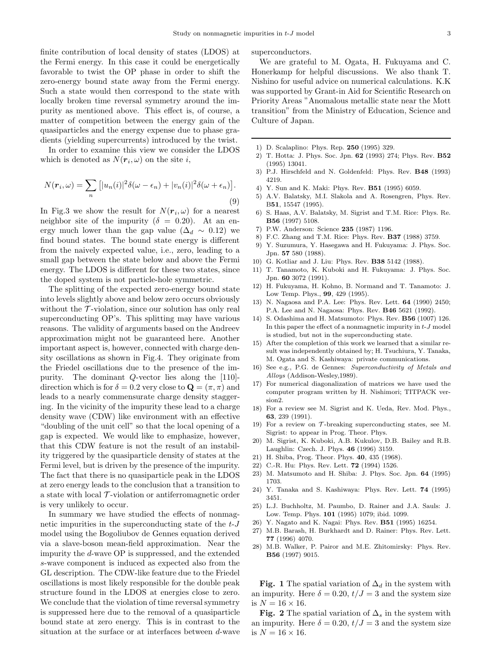<span id="page-2-0"></span>finite contribution of local density of states (LDOS) at the Fermi energy. In this case it could be energetically favorable to twist the OP phase in order to shift the zero-energy bound state away from the Fermi energy. Such a state would then correspond to the state with locally broken time reversal symmetry around the impurity as mentioned above. This effect is, of course, a matter of competition between the energy gain of the quasiparticles and the energy expense due to phase gradients (yielding supercurrents) introduced by the twist.

In order to examine this view we consider the LDOS which is denoted as  $N(\mathbf{r}_i, \omega)$  on the site i,

$$
N(\mathbf{r}_i, \omega) = \sum_n \left[ |u_n(i)|^2 \delta(\omega - \epsilon_n) + |v_n(i)|^2 \delta(\omega + \epsilon_n) \right].
$$
\n(9)

In Fig.3 we show the result for  $N(r_i, \omega)$  for a nearest neighbor site of the impurity ( $\delta = 0.20$ ). At an energy much lower than the gap value ( $\Delta_d \sim 0.12$ ) we find bound states. The bound state energy is different from the naively expected value, i.e., zero, leading to a small gap between the state below and above the Fermi energy. The LDOS is different for these two states, since the doped system is not particle-hole symmetric.

The splitting of the expected zero-energy bound state into levels slightly above and below zero occurs obviously without the  $\mathcal T$ -violation, since our solution has only real superconducting OP's. This splitting may have various reasons. The validity of arguments based on the Andreev approximation might not be guaranteed here. Another important aspect is, however, connected with charge density oscillations as shown in Fig.4. They originate from the Friedel oscillations due to the presence of the impurity. The dominant Q-vector lies along the [110] direction which is for  $\delta = 0.2$  very close to  $\mathbf{Q} = (\pi, \pi)$  and leads to a nearly commensurate charge density staggering. In the vicinity of the impurity these lead to a charge density wave (CDW) like environment with an effective "doubling of the unit cell" so that the local opening of a gap is expected. We would like to emphasize, however, that this CDW feature is not the result of an instability triggered by the quasiparticle density of states at the Fermi level, but is driven by the presence of the impurity. The fact that there is no quasiparticle peak in the LDOS at zero energy leads to the conclusion that a transition to a state with local  $\mathcal T$ -violation or antiferromagnetic order is very unlikely to occur.

In summary we have studied the effects of nonmagnetic impurities in the superconducting state of the  $t-J$ model using the Bogoliubov de Gennes equation derived via a slave-boson mean-field approximation. Near the impurity the d-wave OP is suppressed, and the extended s-wave component is induced as expected also from the GL description. The CDW-like feature due to the Friedel oscillations is most likely responsible for the double peak structure found in the LDOS at energies close to zero. We conclude that the violation of time reversal symmetry is suppressed here due to the removal of a quasiparticle bound state at zero energy. This is in contrast to the situation at the surface or at interfaces between d-wave superconductors.

We are grateful to M. Ogata, H. Fukuyama and C. Honerkamp for helpful discussions. We also thank T. Nishino for useful advice on numerical calculations. K.K was supported by Grant-in Aid for Scientific Research on Priority Areas "Anomalous metallic state near the Mott transition" from the Ministry of Education, Science and Culture of Japan.

- 1) D. Scalaplino: Phys. Rep. 250 (1995) 329.
- 2) T. Hotta: J. Phys. Soc. Jpn. 62 (1993) 274; Phys. Rev. B52 (1995) 13041.
- 3) P.J. Hirschfeld and N. Goldenfeld: Phys. Rev. B48 (1993) 4219.
- 4) Y. Sun and K. Maki: Phys. Rev. B51 (1995) 6059.
- 5) A.V. Balatsky, M.I. Slakola and A. Rosengren, Phys. Rev. B51, 15547 (1995).
- 6) S. Haas, A.V. Balatsky, M. Sigrist and T.M. Rice: Phys. Re. B56 (1997) 5108.
- 7) P.W. Anderson: Science 235 (1987) 1196.
- 8) F.C. Zhang and T.M. Rice: Phys. Rev. B37 (1988) 3759.
- 9) Y. Suzumura, Y. Hasegawa and H. Fukuyama: J. Phys. Soc. Jpn. 57 580 (1988).
- 10) G. Kotliar and J. Liu: Phys. Rev. B38 5142 (1988).
- 11) T. Tanamoto, K. Kuboki and H. Fukuyama: J. Phys. Soc. Jpn. 60 3072 (1991).
- 12) H. Fukuyama, H. Kohno, B. Normand and T. Tanamoto: J. Low Temp. Phys., 99, 429 (1995).
- N. Nagaosa and P.A. Lee: Phys. Rev. Lett. **64** (1990) 2450; P.A. Lee and N. Nagaosa: Phys. Rev. B46 5621 (1992).
- 14) S. Odashima and H. Matsumoto: Phys. Rev. B56 (1007) 126. In this paper the effect of a nonmagnetic impurity in  $t-J$  model is studied, but not in the superconducting state.
- 15) After the completion of this work we learned that a similar result was independently obtained by; H. Tsuchiura, Y. Tanaka, M. Ogata and S. Kashiwaya: private communications.
- 16) See e.g., P.G. de Gennes: Superconductivity of Metals and Alloys (Addison-Wesley,1989).
- 17) For numerical diagonalization of matrices we have used the computer program written by H. Nishimori; TITPACK version2.
- 18) For a review see M. Sigrist and K. Ueda, Rev. Mod. Phys., 63, 239 (1991).
- 19) For a review on  $\mathcal{T}\text{-breaking superconducting states, see M.}$ Sigrist: to appear in Prog. Theor. Phys.
- 20) M. Sigrist, K. Kuboki, A.B. Kukulov, D.B. Bailey and R.B. Laughlin: Czech. J. Phys. 46 (1996) 3159.
- 21) H. Shiba, Prog. Theor. Phys. 40, 435 (1968).
- 22) C.-R. Hu: Phys. Rev. Lett. 72 (1994) 1526.
- 23) M. Matsumoto and H. Shiba: J. Phys. Soc. Jpn. 64 (1995) 1703.
- 24) Y. Tanaka and S. Kashiwaya: Phys. Rev. Lett. 74 (1995) 3451.
- 25) L.J. Buchholtz, M. Paumbo, D. Rainer and J.A. Sauls: J. Low. Temp. Phys. 101 (1995) 1079; ibid. 1099.
- Y. Nagato and K. Nagai: Phys. Rev. **B51** (1995) 16254.
- 27) M.B. Barash, H. Burkhardt and D. Rainer: Phys. Rev. Lett. 77 (1996) 4070.
- 28) M.B. Walker, P. Pairor and M.E. Zhitomirsky: Phys. Rev. B56 (1997) 9015.

Fig. 1 The spatial variation of  $\Delta_d$  in the system with an impurity. Here  $\delta = 0.20, t/J = 3$  and the system size is  $N = 16 \times 16$ .

Fig. 2 The spatial variation of  $\Delta_s$  in the system with an impurity. Here  $\delta = 0.20$ ,  $t/J = 3$  and the system size is  $N = 16 \times 16$ .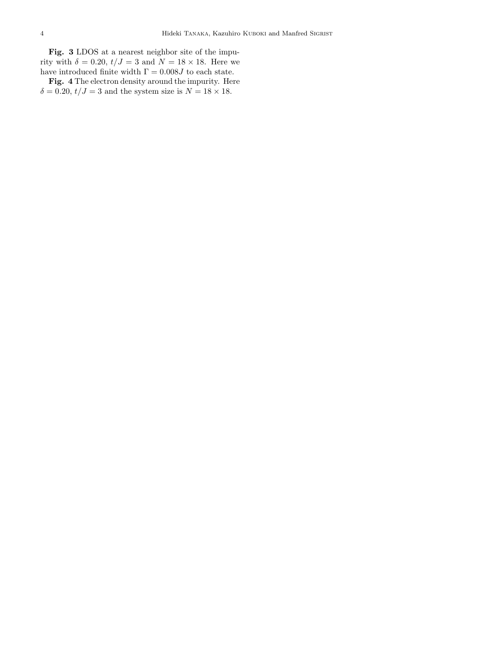Fig. 3 LDOS at a nearest neighbor site of the impurity with  $\delta = 0.20$ ,  $t/J = 3$  and  $N = 18 \times 18$ . Here we have introduced finite width  $\Gamma=0.008J$  to each state.

Fig. 4 The electron density around the impurity. Here  $\delta = 0.20, t/J = 3$  and the system size is  $N = 18 \times 18$ .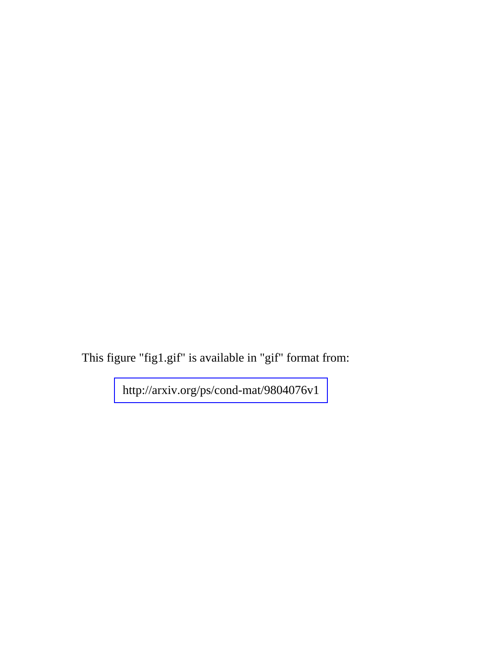This figure "fig1.gif" is available in "gif" format from:

<http://arxiv.org/ps/cond-mat/9804076v1>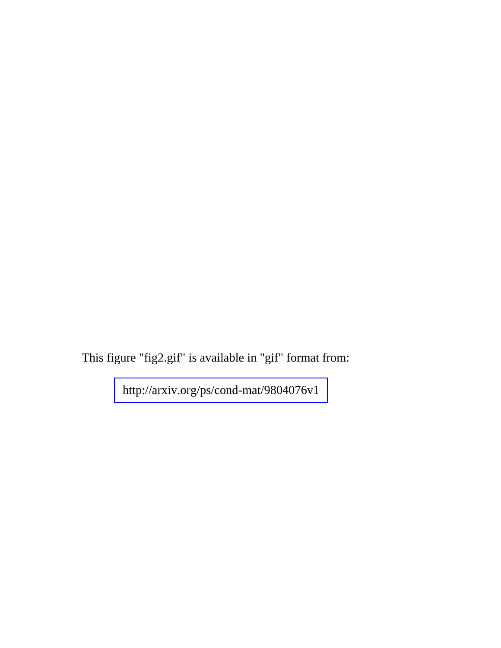This figure "fig2.gif" is available in "gif" format from:

<http://arxiv.org/ps/cond-mat/9804076v1>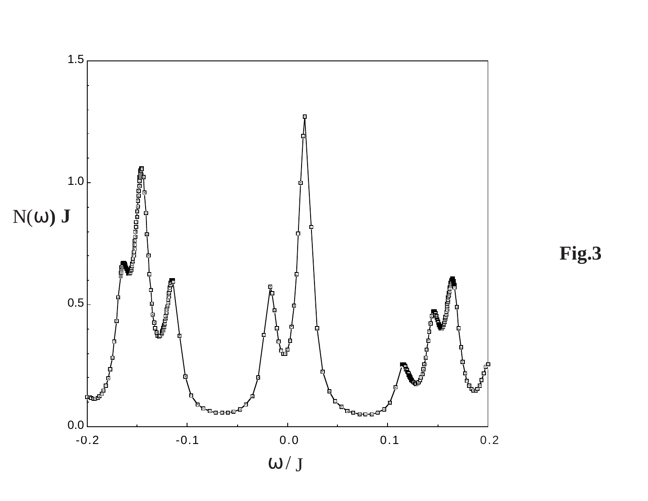